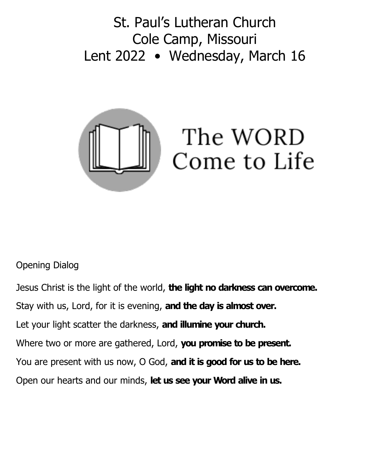St. Paul's Lutheran Church Cole Camp, Missouri Lent 2022 • Wednesday, March 16



## Opening Dialog

Jesus Christ is the light of the world, **the light no darkness can overcome.** Stay with us, Lord, for it is evening, **and the day is almost over.** Let your light scatter the darkness, **and illumine your church.** Where two or more are gathered, Lord, **you promise to be present.** You are present with us now, O God, **and it is good for us to be here.** Open our hearts and our minds, **let us see your Word alive in us.**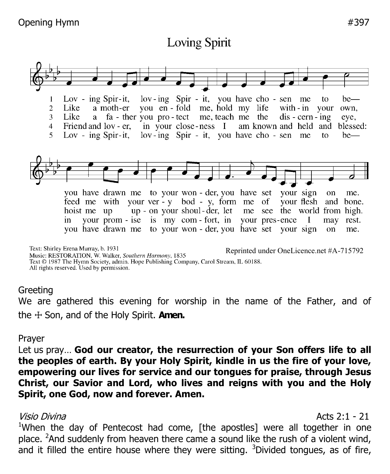# **Loving Spirit**



Reprinted under OneLicence.net #A-715792Music: RESTORATION, W. Walker, Southern Harmony, 1835 Text © 1987 The Hymn Society, admin. Hope Publishing Company, Carol Stream, IL 60188. All rights reserved. Used by permission.

### **Greeting**

We are gathered this evening for worship in the name of the Father, and of the ☩ Son, and of the Holy Spirit. **Amen.**

### Prayer

Let us pray… **God our creator, the resurrection of your Son offers life to all the peoples of earth. By your Holy Spirit, kindle in us the fire of your love, empowering our lives for service and our tongues for praise, through Jesus Christ, our Savior and Lord, who lives and reigns with you and the Holy Spirit, one God, now and forever. Amen.**

### Visio Divina and Acts 2:1 - 21

<sup>1</sup>When the day of Pentecost had come, [the apostles] were all together in one place. <sup>2</sup>And suddenly from heaven there came a sound like the rush of a violent wind, and it filled the entire house where they were sitting.  $3$ Divided tongues, as of fire,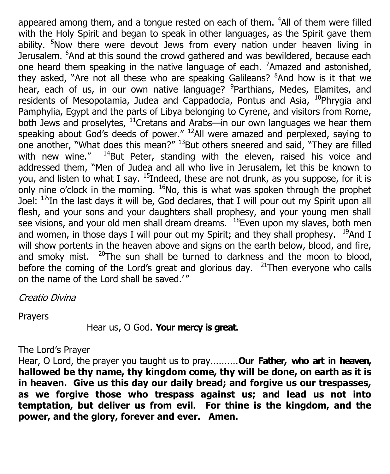appeared among them, and a tongue rested on each of them.  $4$ All of them were filled with the Holy Spirit and began to speak in other languages, as the Spirit gave them ability. <sup>5</sup>Now there were devout Jews from every nation under heaven living in Jerusalem. <sup>6</sup>And at this sound the crowd gathered and was bewildered, because each one heard them speaking in the native language of each.  $7$ Amazed and astonished, they asked, "Are not all these who are speaking Galileans? <sup>8</sup>And how is it that we hear, each of us, in our own native language? <sup>9</sup>Parthians, Medes, Elamites, and residents of Mesopotamia, Judea and Cappadocia, Pontus and Asia, <sup>10</sup>Phrygia and Pamphylia, Egypt and the parts of Libya belonging to Cyrene, and visitors from Rome, both Jews and proselytes,  $^{11}$ Cretans and Arabs—in our own languages we hear them speaking about God's deeds of power."  $^{12}$ All were amazed and perplexed, saying to one another, "What does this mean?" <sup>13</sup>But others sneered and said, "They are filled with new wine."  $14$ But Peter, standing with the eleven, raised his voice and addressed them, "Men of Judea and all who live in Jerusalem, let this be known to you, and listen to what I say.  $15$ Indeed, these are not drunk, as you suppose, for it is only nine o'clock in the morning.  $^{16}$ No, this is what was spoken through the prophet Joel:  $17$ In the last days it will be, God declares, that I will pour out my Spirit upon all flesh, and your sons and your daughters shall prophesy, and your young men shall see visions, and your old men shall dream dreams.  $18$ Even upon my slaves, both men and women, in those days I will pour out my Spirit; and they shall prophesy.  $19$ And I will show portents in the heaven above and signs on the earth below, blood, and fire, and smoky mist.  $20$ The sun shall be turned to darkness and the moon to blood, before the coming of the Lord's great and glorious day.  $21$ Then everyone who calls on the name of the Lord shall be saved.'"

Creatio Divina

Prayers

Hear us, O God. **Your mercy is great.**

### The Lord's Prayer

Hear, O Lord, the prayer you taught us to pray..........**Our Father, who art in heaven, hallowed be thy name, thy kingdom come, thy will be done, on earth as it is in heaven. Give us this day our daily bread; and forgive us our trespasses, as we forgive those who trespass against us; and lead us not into temptation, but deliver us from evil. For thine is the kingdom, and the power, and the glory, forever and ever. Amen.**